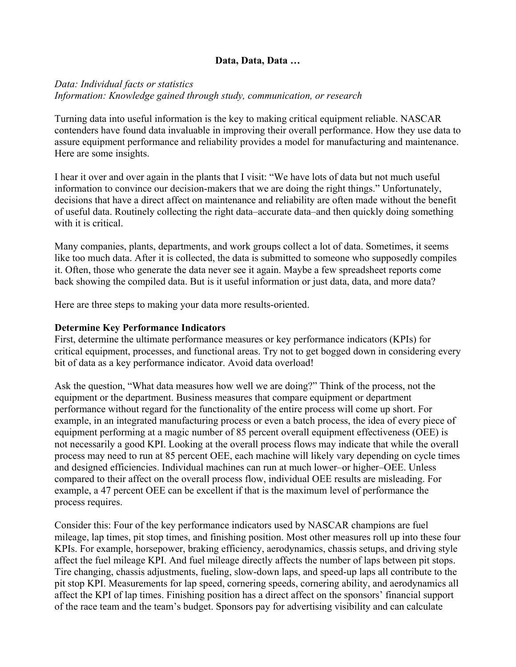### **Data, Data, Data …**

# *Data: Individual facts or statistics Information: Knowledge gained through study, communication, or research*

Turning data into useful information is the key to making critical equipment reliable. NASCAR contenders have found data invaluable in improving their overall performance. How they use data to assure equipment performance and reliability provides a model for manufacturing and maintenance. Here are some insights.

I hear it over and over again in the plants that I visit: "We have lots of data but not much useful information to convince our decision-makers that we are doing the right things." Unfortunately, decisions that have a direct affect on maintenance and reliability are often made without the benefit of useful data. Routinely collecting the right data–accurate data–and then quickly doing something with it is critical.

Many companies, plants, departments, and work groups collect a lot of data. Sometimes, it seems like too much data. After it is collected, the data is submitted to someone who supposedly compiles it. Often, those who generate the data never see it again. Maybe a few spreadsheet reports come back showing the compiled data. But is it useful information or just data, data, and more data?

Here are three steps to making your data more results-oriented.

#### **Determine Key Performance Indicators**

First, determine the ultimate performance measures or key performance indicators (KPIs) for critical equipment, processes, and functional areas. Try not to get bogged down in considering every bit of data as a key performance indicator. Avoid data overload!

Ask the question, "What data measures how well we are doing?" Think of the process, not the equipment or the department. Business measures that compare equipment or department performance without regard for the functionality of the entire process will come up short. For example, in an integrated manufacturing process or even a batch process, the idea of every piece of equipment performing at a magic number of 85 percent overall equipment effectiveness (OEE) is not necessarily a good KPI. Looking at the overall process flows may indicate that while the overall process may need to run at 85 percent OEE, each machine will likely vary depending on cycle times and designed efficiencies. Individual machines can run at much lower–or higher–OEE. Unless compared to their affect on the overall process flow, individual OEE results are misleading. For example, a 47 percent OEE can be excellent if that is the maximum level of performance the process requires.

Consider this: Four of the key performance indicators used by NASCAR champions are fuel mileage, lap times, pit stop times, and finishing position. Most other measures roll up into these four KPIs. For example, horsepower, braking efficiency, aerodynamics, chassis setups, and driving style affect the fuel mileage KPI. And fuel mileage directly affects the number of laps between pit stops. Tire changing, chassis adjustments, fueling, slow-down laps, and speed-up laps all contribute to the pit stop KPI. Measurements for lap speed, cornering speeds, cornering ability, and aerodynamics all affect the KPI of lap times. Finishing position has a direct affect on the sponsors' financial support of the race team and the team's budget. Sponsors pay for advertising visibility and can calculate